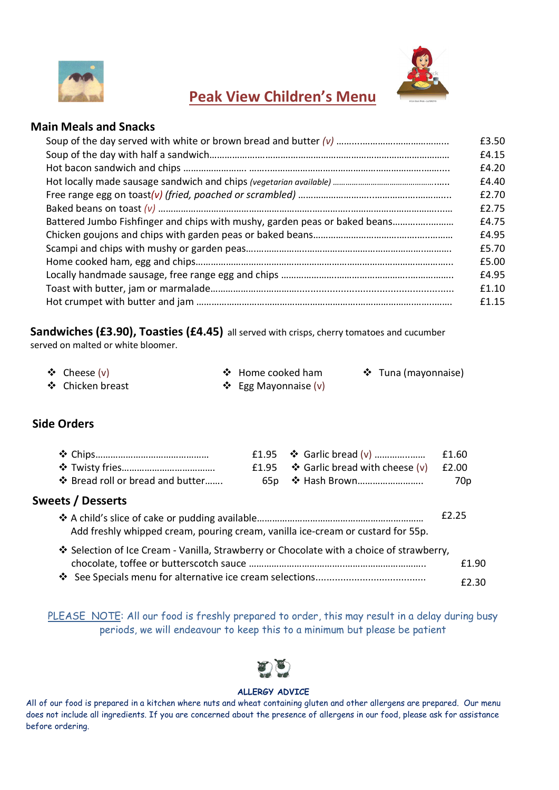



# Peak View Children's Menu

### Main Meals and Snacks

|                                                                            | £3.50<br>£4.15 |
|----------------------------------------------------------------------------|----------------|
|                                                                            | £4.20          |
|                                                                            | £4.40          |
|                                                                            | £2.70          |
|                                                                            | £2.75          |
| Battered Jumbo Fishfinger and chips with mushy, garden peas or baked beans | £4.75          |
|                                                                            | £4.95          |
|                                                                            | £5.70          |
|                                                                            | £5.00          |
|                                                                            | £4.95          |
|                                                                            | f1.10          |
|                                                                            | £1.15          |

Sandwiches (£3.90), Toasties (£4.45) all served with crisps, cherry tomatoes and cucumber served on malted or white bloomer.

| ❖ Cheese $(v)$   | ❖ Home cooked ham    | $\div$ Tuna (mayonnaise) |
|------------------|----------------------|--------------------------|
| ❖ Chicken breast | ❖ Egg Mayonnaise (v) |                          |

## Side Orders

|                                  |                                                    | £1.60 |
|----------------------------------|----------------------------------------------------|-------|
|                                  | £1.95 $\bullet$ Garlic bread with cheese (v) £2.00 |       |
| ❖ Bread roll or bread and butter |                                                    | 70p   |

### Sweets / Desserts

|                                                                                          | £2.25 |
|------------------------------------------------------------------------------------------|-------|
| Add freshly whipped cream, pouring cream, vanilla ice-cream or custard for 55p.          |       |
| * Selection of Ice Cream - Vanilla, Strawberry or Chocolate with a choice of strawberry, |       |
|                                                                                          | f1.90 |
|                                                                                          | £2.30 |

PLEASE NOTE: All our food is freshly prepared to order, this may result in a delay during busy periods, we will endeavour to keep this to a minimum but please be patient



### ALLERGY ADVICE

All of our food is prepared in a kitchen where nuts and wheat containing gluten and other allergens are prepared. Our menu does not include all ingredients. If you are concerned about the presence of allergens in our food, please ask for assistance before ordering.